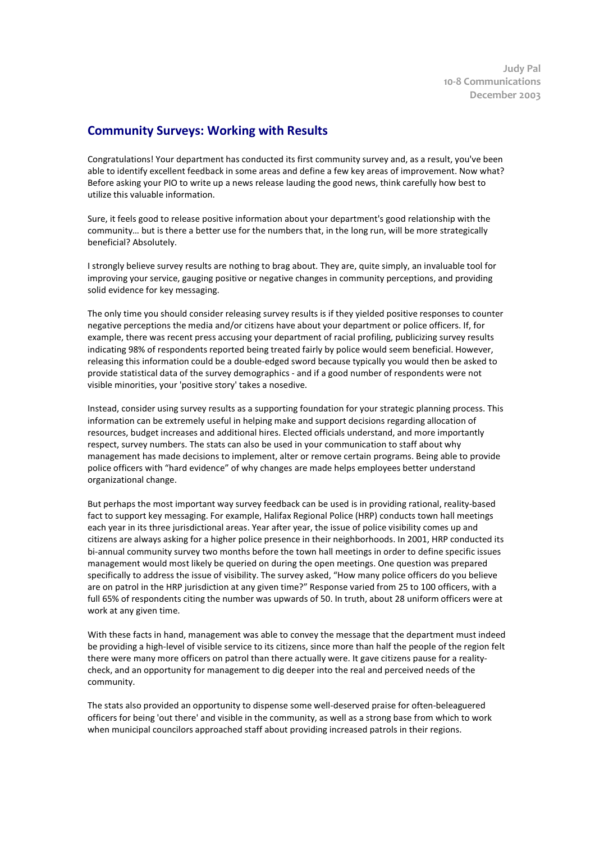**Judy Pal 10-8 Communications December 2003** 

## **Community Surveys: Working with Results**

Congratulations! Your department has conducted its first community survey and, as a result, you've been able to identify excellent feedback in some areas and define a few key areas of improvement. Now what? Before asking your PIO to write up a news release lauding the good news, think carefully how best to utilize this valuable information.

Sure, it feels good to release positive information about your department's good relationship with the community… but is there a better use for the numbers that, in the long run, will be more strategically beneficial? Absolutely.

I strongly believe survey results are nothing to brag about. They are, quite simply, an invaluable tool for improving your service, gauging positive or negative changes in community perceptions, and providing solid evidence for key messaging.

The only time you should consider releasing survey results is if they yielded positive responses to counter negative perceptions the media and/or citizens have about your department or police officers. If, for example, there was recent press accusing your department of racial profiling, publicizing survey results indicating 98% of respondents reported being treated fairly by police would seem beneficial. However, releasing this information could be a double-edged sword because typically you would then be asked to provide statistical data of the survey demographics - and if a good number of respondents were not visible minorities, your 'positive story' takes a nosedive.

Instead, consider using survey results as a supporting foundation for your strategic planning process. This information can be extremely useful in helping make and support decisions regarding allocation of resources, budget increases and additional hires. Elected officials understand, and more importantly respect, survey numbers. The stats can also be used in your communication to staff about why management has made decisions to implement, alter or remove certain programs. Being able to provide police officers with "hard evidence" of why changes are made helps employees better understand organizational change.

But perhaps the most important way survey feedback can be used is in providing rational, reality-based fact to support key messaging. For example, Halifax Regional Police (HRP) conducts town hall meetings each year in its three jurisdictional areas. Year after year, the issue of police visibility comes up and citizens are always asking for a higher police presence in their neighborhoods. In 2001, HRP conducted its bi-annual community survey two months before the town hall meetings in order to define specific issues management would most likely be queried on during the open meetings. One question was prepared specifically to address the issue of visibility. The survey asked, "How many police officers do you believe are on patrol in the HRP jurisdiction at any given time?" Response varied from 25 to 100 officers, with a full 65% of respondents citing the number was upwards of 50. In truth, about 28 uniform officers were at work at any given time.

With these facts in hand, management was able to convey the message that the department must indeed be providing a high-level of visible service to its citizens, since more than half the people of the region felt there were many more officers on patrol than there actually were. It gave citizens pause for a realitycheck, and an opportunity for management to dig deeper into the real and perceived needs of the community.

The stats also provided an opportunity to dispense some well-deserved praise for often-beleaguered officers for being 'out there' and visible in the community, as well as a strong base from which to work when municipal councilors approached staff about providing increased patrols in their regions.